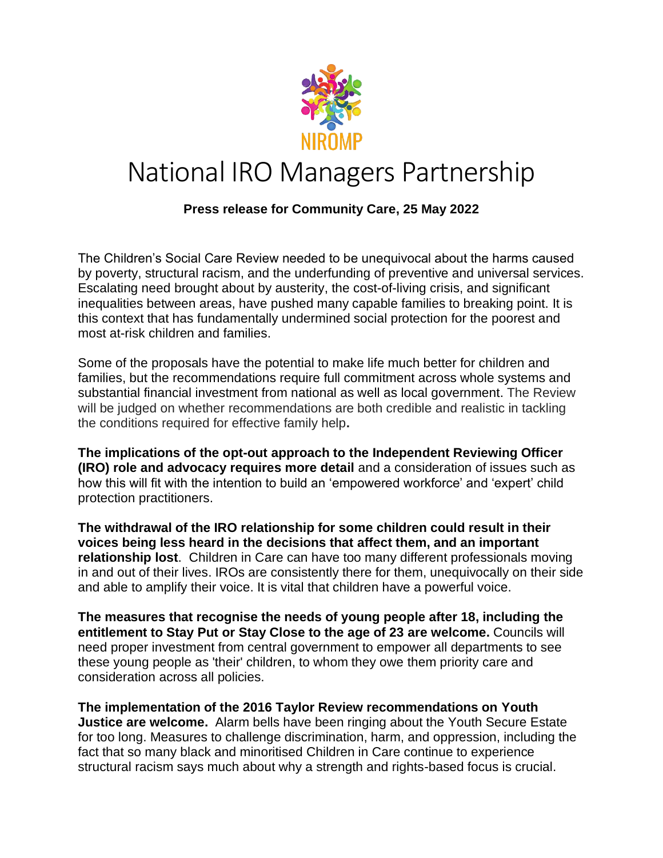

## National IRO Managers Partnership

## **Press release for Community Care, 25 May 2022**

The Children's Social Care Review needed to be unequivocal about the harms caused by poverty, structural racism, and the underfunding of preventive and universal services. Escalating need brought about by austerity, the cost-of-living crisis, and significant inequalities between areas, have pushed many capable families to breaking point. It is this context that has fundamentally undermined social protection for the poorest and most at-risk children and families.

Some of the proposals have the potential to make life much better for children and families, but the recommendations require full commitment across whole systems and substantial financial investment from national as well as local government. The Review will be judged on whether recommendations are both credible and realistic in tackling the conditions required for effective family help**.**

**The implications of the opt-out approach to the Independent Reviewing Officer (IRO) role and advocacy requires more detail** and a consideration of issues such as how this will fit with the intention to build an 'empowered workforce' and 'expert' child protection practitioners.

**The withdrawal of the IRO relationship for some children could result in their voices being less heard in the decisions that affect them, and an important relationship lost**. Children in Care can have too many different professionals moving in and out of their lives. IROs are consistently there for them, unequivocally on their side and able to amplify their voice. It is vital that children have a powerful voice.

**The measures that recognise the needs of young people after 18, including the entitlement to Stay Put or Stay Close to the age of 23 are welcome.** Councils will need proper investment from central government to empower all departments to see these young people as 'their' children, to whom they owe them priority care and consideration across all policies.

**The implementation of the 2016 Taylor Review recommendations on Youth Justice are welcome.** Alarm bells have been ringing about the Youth Secure Estate for too long. Measures to challenge discrimination, harm, and oppression, including the fact that so many black and minoritised Children in Care continue to experience structural racism says much about why a strength and rights-based focus is crucial.